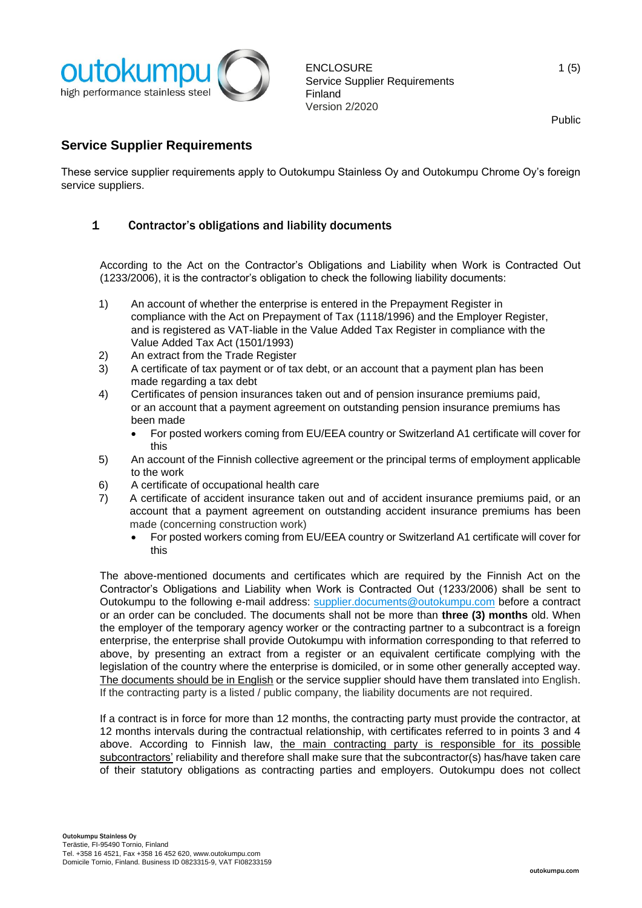

# **Service Supplier Requirements**

These service supplier requirements apply to Outokumpu Stainless Oy and Outokumpu Chrome Oy's foreign service suppliers.

### 1 Contractor's obligations and liability documents

According to the Act on the Contractor's Obligations and Liability when Work is Contracted Out (1233/2006), it is the contractor's obligation to check the following liability documents:

- 1) An account of whether the enterprise is entered in the Prepayment Register in compliance with the Act on Prepayment of Tax (1118/1996) and the Employer Register, and is registered as VAT-liable in the Value Added Tax Register in compliance with the Value Added Tax Act (1501/1993)
- 2) An extract from the Trade Register
- 3) A certificate of tax payment or of tax debt, or an account that a payment plan has been made regarding a tax debt
- 4) Certificates of pension insurances taken out and of pension insurance premiums paid, or an account that a payment agreement on outstanding pension insurance premiums has been made
	- For posted workers coming from EU/EEA country or Switzerland A1 certificate will cover for this
- 5) An account of the Finnish collective agreement or the principal terms of employment applicable to the work
- 6) A certificate of occupational health care
- 7) A certificate of accident insurance taken out and of accident insurance premiums paid, or an account that a payment agreement on outstanding accident insurance premiums has been made (concerning construction work)
	- For posted workers coming from EU/EEA country or Switzerland A1 certificate will cover for this

The above-mentioned documents and certificates which are required by the Finnish Act on the Contractor's Obligations and Liability when Work is Contracted Out (1233/2006) shall be sent to Outokumpu to the following e-mail address: [supplier.documents@outokumpu.com](mailto:supplier.documents@outokumpu.com) before a contract or an order can be concluded. The documents shall not be more than **three (3) months** old. When the employer of the temporary agency worker or the contracting partner to a subcontract is a foreign enterprise, the enterprise shall provide Outokumpu with information corresponding to that referred to above, by presenting an extract from a register or an equivalent certificate complying with the legislation of the country where the enterprise is domiciled, or in some other generally accepted way. The documents should be in English or the service supplier should have them translated into English. If the contracting party is a listed / public company, the liability documents are not required.

If a contract is in force for more than 12 months, the contracting party must provide the contractor, at 12 months intervals during the contractual relationship, with certificates referred to in points 3 and 4 above. According to Finnish law, the main contracting party is responsible for its possible subcontractors' reliability and therefore shall make sure that the subcontractor(s) has/have taken care of their statutory obligations as contracting parties and employers. Outokumpu does not collect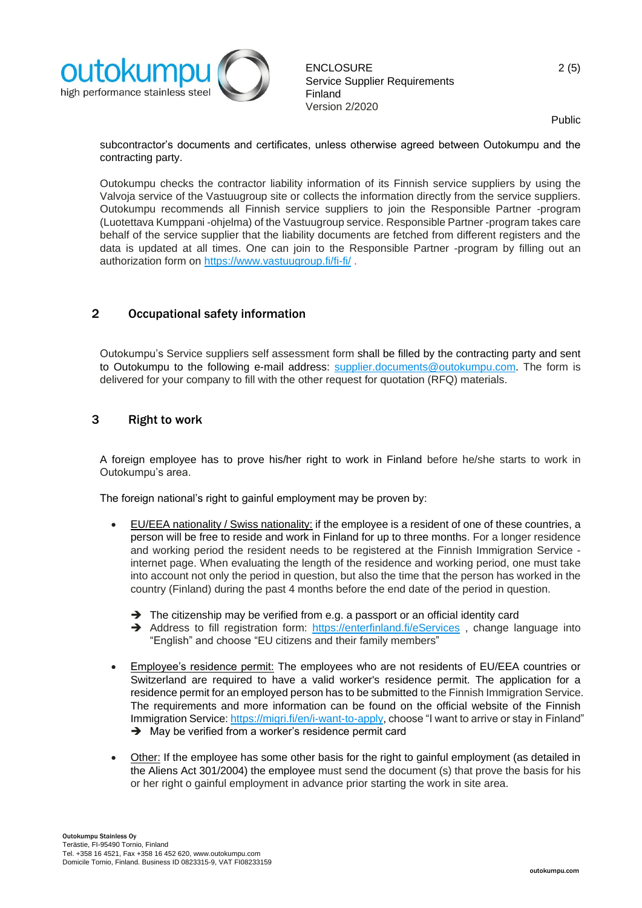

subcontractor's documents and certificates, unless otherwise agreed between Outokumpu and the contracting party.

Outokumpu checks the contractor liability information of its Finnish service suppliers by using the Valvoja service of the Vastuugroup site or collects the information directly from the service suppliers. Outokumpu recommends all Finnish service suppliers to join the Responsible Partner -program (Luotettava Kumppani -ohjelma) of the Vastuugroup service. Responsible Partner -program takes care behalf of the service supplier that the liability documents are fetched from different registers and the data is updated at all times. One can join to the Responsible Partner -program by filling out an authorization form on<https://www.vastuugroup.fi/fi-fi/> .

# 2 Occupational safety information

Outokumpu's Service suppliers self assessment form shall be filled by the contracting party and sent to Outokumpu to the following e-mail address: [supplier.documents@outokumpu.com.](mailto:supplier.documents@outokumpu.com) The form is delivered for your company to fill with the other request for quotation (RFQ) materials.

#### 3 Right to work

A foreign employee has to prove his/her right to work in Finland before he/she starts to work in Outokumpu's area.

The foreign national's right to gainful employment may be proven by:

- EU/EEA nationality / Swiss nationality: if the employee is a resident of one of these countries, a person will be free to reside and work in Finland for up to three months. For a longer residence and working period the resident needs to be registered at the Finnish Immigration Service internet page. When evaluating the length of the residence and working period, one must take into account not only the period in question, but also the time that the person has worked in the country (Finland) during the past 4 months before the end date of the period in question.
	- ➔ The citizenship may be verified from e.g. a passport or an official identity card
	- → Address to fill registration form: <https://enterfinland.fi/eServices>, change language into "English" and choose "EU citizens and their family members"
- Employee's residence permit: The employees who are not residents of EU/EEA countries or Switzerland are required to have a valid worker's residence permit. The application for a residence permit for an employed person has to be submitted to the Finnish Immigration Service. The requirements and more information can be found on the official website of the Finnish Immigration Service: [https://migri.fi/en/i-want-to-apply,](https://migri.fi/en/i-want-to-apply) choose "I want to arrive or stay in Finland" ➔ May be verified from a worker's residence permit card
- Other: If the employee has some other basis for the right to gainful employment (as detailed in the Aliens Act 301/2004) the employee must send the document (s) that prove the basis for his or her right o gainful employment in advance prior starting the work in site area.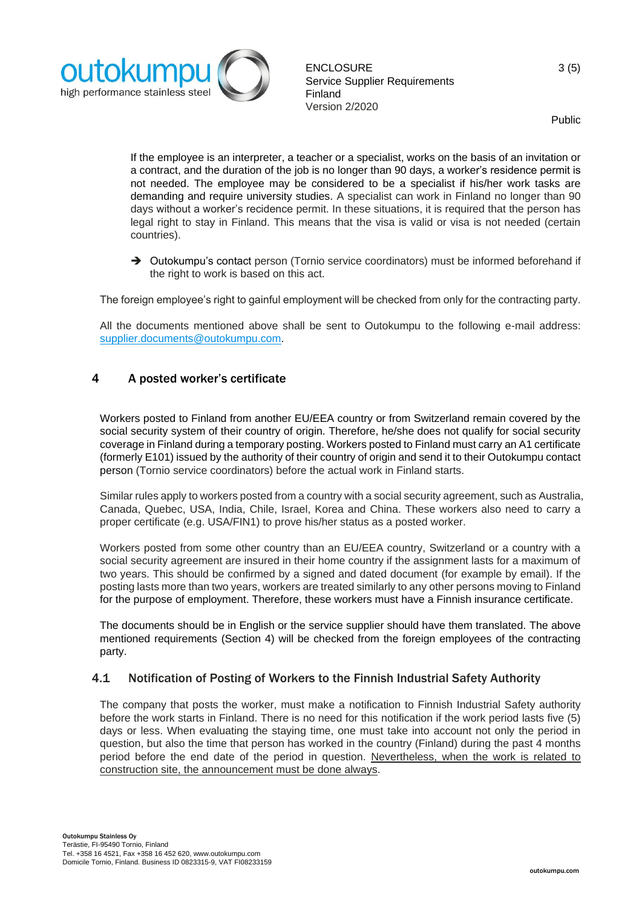

If the employee is an interpreter, a teacher or a specialist, works on the basis of an invitation or a contract, and the duration of the job is no longer than 90 days, a worker's residence permit is not needed. The employee may be considered to be a specialist if his/her work tasks are demanding and require university studies. A specialist can work in Finland no longer than 90 days without a worker's recidence permit. In these situations, it is required that the person has legal right to stay in Finland. This means that the visa is valid or visa is not needed (certain countries).

→ Outokumpu's contact person (Tornio service coordinators) must be informed beforehand if the right to work is based on this act.

The foreign employee's right to gainful employment will be checked from only for the contracting party.

All the documents mentioned above shall be sent to Outokumpu to the following e-mail address: [supplier.documents@outokumpu.com.](mailto:supplier.documents@outokumpu.com)

#### 4 A posted worker's certificate

Workers posted to Finland from another EU/EEA country or from Switzerland remain covered by the social security system of their country of origin. Therefore, he/she does not qualify for social security coverage in Finland during a temporary posting. Workers posted to Finland must carry an A1 certificate (formerly E101) issued by the authority of their country of origin and send it to their Outokumpu contact person (Tornio service coordinators) before the actual work in Finland starts.

Similar rules apply to workers posted from a country with a social security agreement, such as Australia, Canada, Quebec, USA, India, Chile, Israel, Korea and China. These workers also need to carry a proper certificate (e.g. USA/FIN1) to prove his/her status as a posted worker.

Workers posted from some other country than an EU/EEA country, Switzerland or a country with a social security agreement are insured in their home country if the assignment lasts for a maximum of two years. This should be confirmed by a signed and dated document (for example by email). If the posting lasts more than two years, workers are treated similarly to any other persons moving to Finland for the purpose of employment. Therefore, these workers must have a Finnish insurance certificate.

The documents should be in English or the service supplier should have them translated. The above mentioned requirements (Section 4) will be checked from the foreign employees of the contracting party.

#### 4.1 Notification of Posting of Workers to the Finnish Industrial Safety Authority

The company that posts the worker, must make a notification to Finnish Industrial Safety authority before the work starts in Finland. There is no need for this notification if the work period lasts five (5) days or less. When evaluating the staying time, one must take into account not only the period in question, but also the time that person has worked in the country (Finland) during the past 4 months period before the end date of the period in question. Nevertheless, when the work is related to construction site, the announcement must be done always.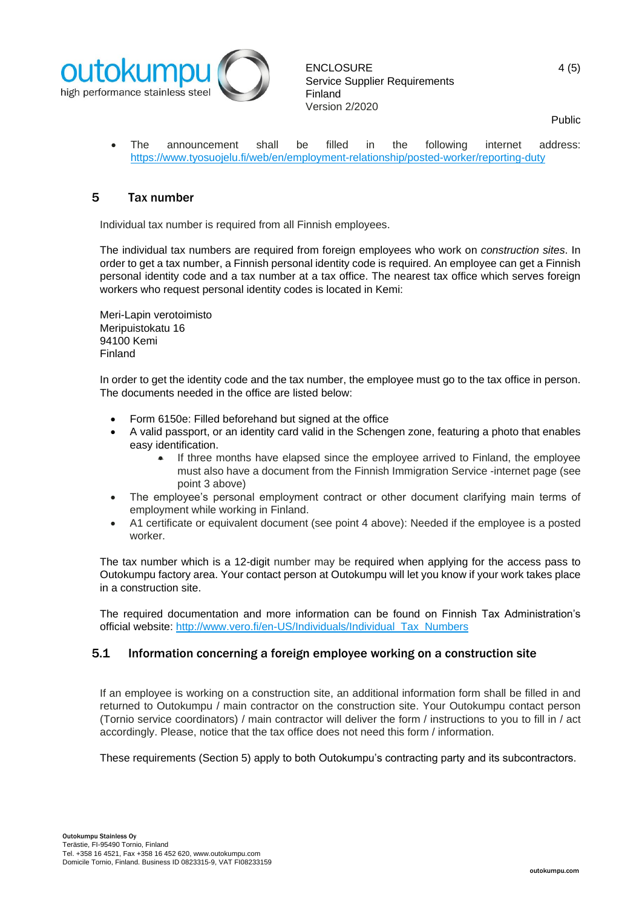

• The announcement shall be filled in the following internet address: <https://www.tyosuojelu.fi/web/en/employment-relationship/posted-worker/reporting-duty>

### 5 Tax number

Individual tax number is required from all Finnish employees.

The individual tax numbers are required from foreign employees who work on *construction sites*. In order to get a tax number, a Finnish personal identity code is required. An employee can get a Finnish personal identity code and a tax number at a tax office. The nearest tax office which serves foreign workers who request personal identity codes is located in Kemi:

Meri-Lapin verotoimisto Meripuistokatu 16 94100 Kemi Finland

In order to get the identity code and the tax number, the employee must go to the tax office in person. The documents needed in the office are listed below:

- Form 6150e: Filled beforehand but signed at the office
- A valid passport, or an identity card valid in the Schengen zone, featuring a photo that enables easy identification.
	- If three months have elapsed since the employee arrived to Finland, the employee must also have a document from the Finnish Immigration Service -internet page (see point 3 above)
- The employee's personal employment contract or other document clarifying main terms of employment while working in Finland.
- A1 certificate or equivalent document (see point 4 above): Needed if the employee is a posted worker.

The tax number which is a 12-digit number may be required when applying for the access pass to Outokumpu factory area. Your contact person at Outokumpu will let you know if your work takes place in a construction site.

The required documentation and more information can be found on Finnish Tax Administration's official website: [http://www.vero.fi/en-US/Individuals/Individual\\_Tax\\_Numbers](http://www.vero.fi/en-US/Individuals/Individual_Tax_Numbers)

#### 5.1 Information concerning a foreign employee working on a construction site

If an employee is working on a construction site, an additional information form shall be filled in and returned to Outokumpu / main contractor on the construction site. Your Outokumpu contact person (Tornio service coordinators) / main contractor will deliver the form / instructions to you to fill in / act accordingly. Please, notice that the tax office does not need this form / information.

These requirements (Section 5) apply to both Outokumpu's contracting party and its subcontractors.